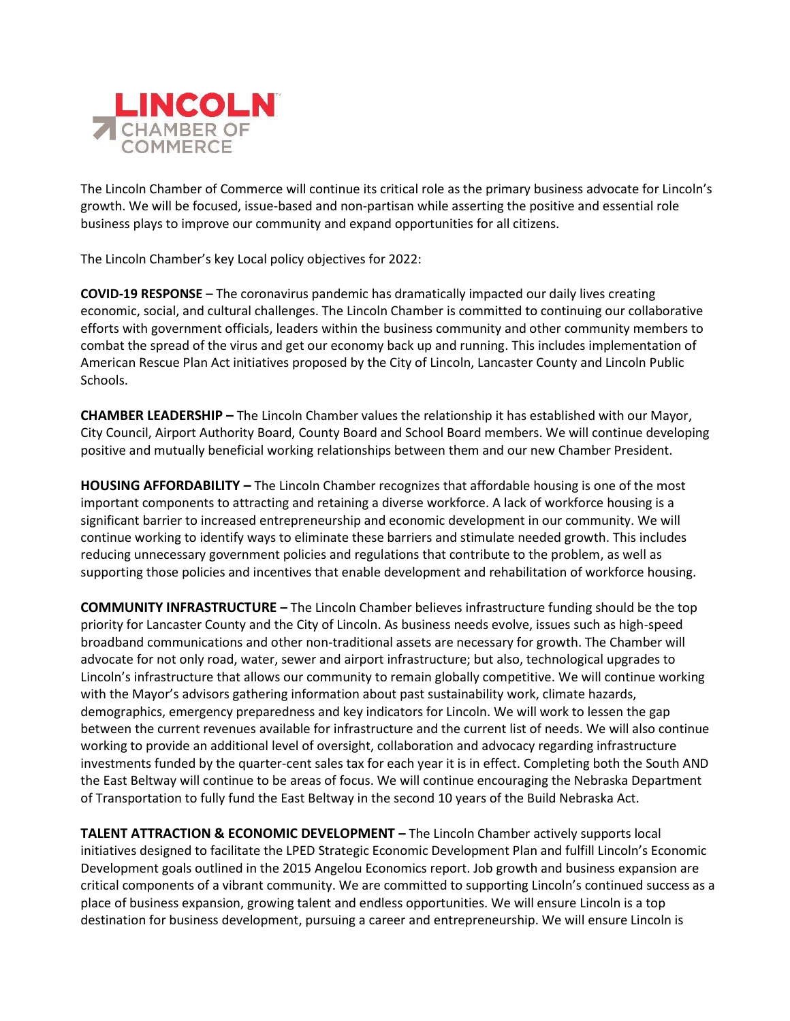

The Lincoln Chamber of Commerce will continue its critical role as the primary business advocate for Lincoln's growth. We will be focused, issue-based and non-partisan while asserting the positive and essential role business plays to improve our community and expand opportunities for all citizens.

The Lincoln Chamber's key Local policy objectives for 2022:

**COVID-19 RESPONSE** – The coronavirus pandemic has dramatically impacted our daily lives creating economic, social, and cultural challenges. The Lincoln Chamber is committed to continuing our collaborative efforts with government officials, leaders within the business community and other community members to combat the spread of the virus and get our economy back up and running. This includes implementation of American Rescue Plan Act initiatives proposed by the City of Lincoln, Lancaster County and Lincoln Public Schools.

**CHAMBER LEADERSHIP –** The Lincoln Chamber values the relationship it has established with our Mayor, City Council, Airport Authority Board, County Board and School Board members. We will continue developing positive and mutually beneficial working relationships between them and our new Chamber President.

**HOUSING AFFORDABILITY –** The Lincoln Chamber recognizes that affordable housing is one of the most important components to attracting and retaining a diverse workforce. A lack of workforce housing is a significant barrier to increased entrepreneurship and economic development in our community. We will continue working to identify ways to eliminate these barriers and stimulate needed growth. This includes reducing unnecessary government policies and regulations that contribute to the problem, as well as supporting those policies and incentives that enable development and rehabilitation of workforce housing.

**COMMUNITY INFRASTRUCTURE –** The Lincoln Chamber believes infrastructure funding should be the top priority for Lancaster County and the City of Lincoln. As business needs evolve, issues such as high-speed broadband communications and other non-traditional assets are necessary for growth. The Chamber will advocate for not only road, water, sewer and airport infrastructure; but also, technological upgrades to Lincoln's infrastructure that allows our community to remain globally competitive. We will continue working with the Mayor's advisors gathering information about past sustainability work, climate hazards, demographics, emergency preparedness and key indicators for Lincoln. We will work to lessen the gap between the current revenues available for infrastructure and the current list of needs. We will also continue working to provide an additional level of oversight, collaboration and advocacy regarding infrastructure investments funded by the quarter-cent sales tax for each year it is in effect. Completing both the South AND the East Beltway will continue to be areas of focus. We will continue encouraging the Nebraska Department of Transportation to fully fund the East Beltway in the second 10 years of the Build Nebraska Act.

**TALENT ATTRACTION & ECONOMIC DEVELOPMENT –** The Lincoln Chamber actively supports local initiatives designed to facilitate the LPED Strategic Economic Development Plan and fulfill Lincoln's Economic Development goals outlined in the 2015 Angelou Economics report. Job growth and business expansion are critical components of a vibrant community. We are committed to supporting Lincoln's continued success as a place of business expansion, growing talent and endless opportunities. We will ensure Lincoln is a top destination for business development, pursuing a career and entrepreneurship. We will ensure Lincoln is